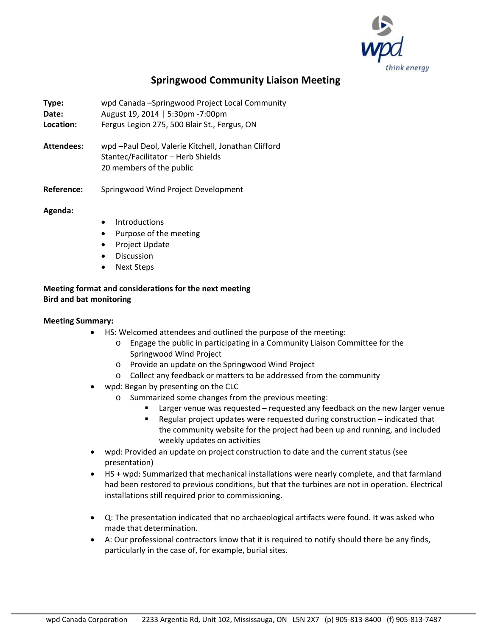

# **Springwood Community Liaison Meeting**

- **Type:** wpd Canada –Springwood Project Local Community
- **Date:** August 19, 2014 | 5:30pm -7:00pm
- **Location:** Fergus Legion 275, 500 Blair St., Fergus, ON
- **Attendees:** wpd –Paul Deol, Valerie Kitchell, Jonathan Clifford Stantec/Facilitator – Herb Shields 20 members of the public
- **Reference:** Springwood Wind Project Development

# **Agenda:**

- **Introductions**
- Purpose of the meeting
- Project Update
- **Discussion**
- **Next Steps**

# **Meeting format and considerations for the next meeting Bird and bat monitoring**

# **Meeting Summary:**

- HS: Welcomed attendees and outlined the purpose of the meeting:
	- o Engage the public in participating in a Community Liaison Committee for the Springwood Wind Project
	- o Provide an update on the Springwood Wind Project
	- o Collect any feedback or matters to be addressed from the community
- wpd: Began by presenting on the CLC
	- o Summarized some changes from the previous meeting:
		- Larger venue was requested requested any feedback on the new larger venue
		- Regular project updates were requested during construction indicated that the community website for the project had been up and running, and included weekly updates on activities
- wpd: Provided an update on project construction to date and the current status (see presentation)
- HS + wpd: Summarized that mechanical installations were nearly complete, and that farmland had been restored to previous conditions, but that the turbines are not in operation. Electrical installations still required prior to commissioning.
- Q: The presentation indicated that no archaeological artifacts were found. It was asked who made that determination.
- A: Our professional contractors know that it is required to notify should there be any finds, particularly in the case of, for example, burial sites.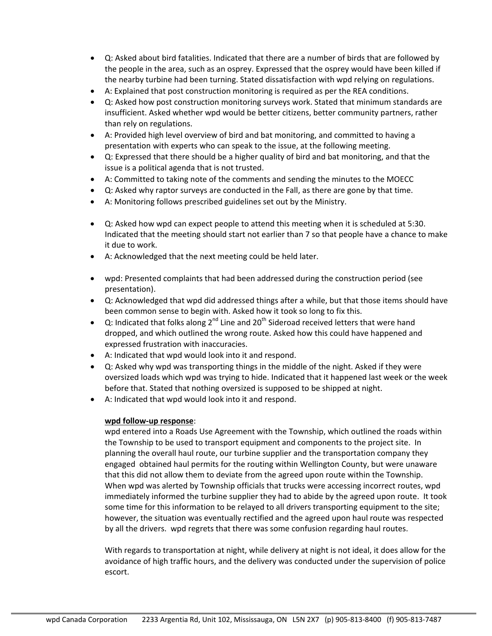- Q: Asked about bird fatalities. Indicated that there are a number of birds that are followed by the people in the area, such as an osprey. Expressed that the osprey would have been killed if the nearby turbine had been turning. Stated dissatisfaction with wpd relying on regulations.
- A: Explained that post construction monitoring is required as per the REA conditions.
- Q: Asked how post construction monitoring surveys work. Stated that minimum standards are insufficient. Asked whether wpd would be better citizens, better community partners, rather than rely on regulations.
- A: Provided high level overview of bird and bat monitoring, and committed to having a presentation with experts who can speak to the issue, at the following meeting.
- Q: Expressed that there should be a higher quality of bird and bat monitoring, and that the issue is a political agenda that is not trusted.
- A: Committed to taking note of the comments and sending the minutes to the MOECC
- Q: Asked why raptor surveys are conducted in the Fall, as there are gone by that time.
- A: Monitoring follows prescribed guidelines set out by the Ministry.
- Q: Asked how wpd can expect people to attend this meeting when it is scheduled at 5:30. Indicated that the meeting should start not earlier than 7 so that people have a chance to make it due to work.
- A: Acknowledged that the next meeting could be held later.
- wpd: Presented complaints that had been addressed during the construction period (see presentation).
- Q: Acknowledged that wpd did addressed things after a while, but that those items should have been common sense to begin with. Asked how it took so long to fix this.
- Q: Indicated that folks along  $2^{nd}$  Line and  $20^{th}$  Sideroad received letters that were hand dropped, and which outlined the wrong route. Asked how this could have happened and expressed frustration with inaccuracies.
- A: Indicated that wpd would look into it and respond.
- Q: Asked why wpd was transporting things in the middle of the night. Asked if they were oversized loads which wpd was trying to hide. Indicated that it happened last week or the week before that. Stated that nothing oversized is supposed to be shipped at night.
- A: Indicated that wpd would look into it and respond.

#### **wpd follow-up response**:

wpd entered into a Roads Use Agreement with the Township, which outlined the roads within the Township to be used to transport equipment and components to the project site. In planning the overall haul route, our turbine supplier and the transportation company they engaged obtained haul permits for the routing within Wellington County, but were unaware that this did not allow them to deviate from the agreed upon route within the Township. When wpd was alerted by Township officials that trucks were accessing incorrect routes, wpd immediately informed the turbine supplier they had to abide by the agreed upon route. It took some time for this information to be relayed to all drivers transporting equipment to the site; however, the situation was eventually rectified and the agreed upon haul route was respected by all the drivers. wpd regrets that there was some confusion regarding haul routes.

With regards to transportation at night, while delivery at night is not ideal, it does allow for the avoidance of high traffic hours, and the delivery was conducted under the supervision of police escort.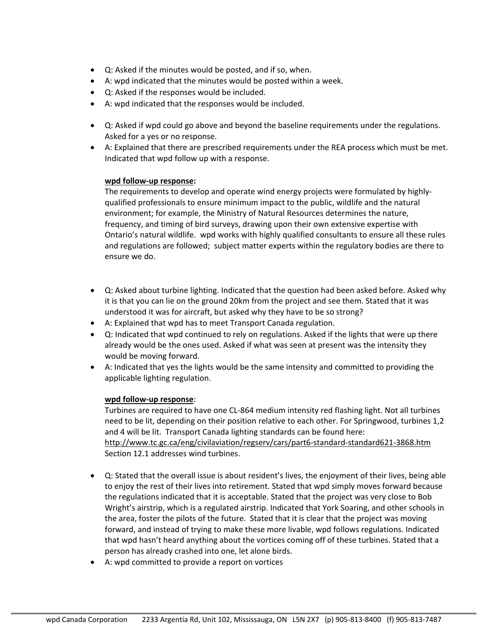- Q: Asked if the minutes would be posted, and if so, when.
- A: wpd indicated that the minutes would be posted within a week.
- Q: Asked if the responses would be included.
- A: wpd indicated that the responses would be included.
- Q: Asked if wpd could go above and beyond the baseline requirements under the regulations. Asked for a yes or no response.
- A: Explained that there are prescribed requirements under the REA process which must be met. Indicated that wpd follow up with a response.

#### **wpd follow-up response:**

The requirements to develop and operate wind energy projects were formulated by highlyqualified professionals to ensure minimum impact to the public, wildlife and the natural environment; for example, the Ministry of Natural Resources determines the nature, frequency, and timing of bird surveys, drawing upon their own extensive expertise with Ontario's natural wildlife. wpd works with highly qualified consultants to ensure all these rules and regulations are followed; subject matter experts within the regulatory bodies are there to ensure we do.

- Q: Asked about turbine lighting. Indicated that the question had been asked before. Asked why it is that you can lie on the ground 20km from the project and see them. Stated that it was understood it was for aircraft, but asked why they have to be so strong?
- A: Explained that wpd has to meet Transport Canada regulation.
- Q: Indicated that wpd continued to rely on regulations. Asked if the lights that were up there already would be the ones used. Asked if what was seen at present was the intensity they would be moving forward.
- A: Indicated that yes the lights would be the same intensity and committed to providing the applicable lighting regulation.

#### **wpd follow-up response**:

Turbines are required to have one CL-864 medium intensity red flashing light. Not all turbines need to be lit, depending on their position relative to each other. For Springwood, turbines 1,2 and 4 will be lit. Transport Canada lighting standards can be found here: <http://www.tc.gc.ca/eng/civilaviation/regserv/cars/part6-standard-standard621-3868.htm> Section 12.1 addresses wind turbines.

- Q: Stated that the overall issue is about resident's lives, the enjoyment of their lives, being able to enjoy the rest of their lives into retirement. Stated that wpd simply moves forward because the regulations indicated that it is acceptable. Stated that the project was very close to Bob Wright's airstrip, which is a regulated airstrip. Indicated that York Soaring, and other schools in the area, foster the pilots of the future. Stated that it is clear that the project was moving forward, and instead of trying to make these more livable, wpd follows regulations. Indicated that wpd hasn't heard anything about the vortices coming off of these turbines. Stated that a person has already crashed into one, let alone birds.
- A: wpd committed to provide a report on vortices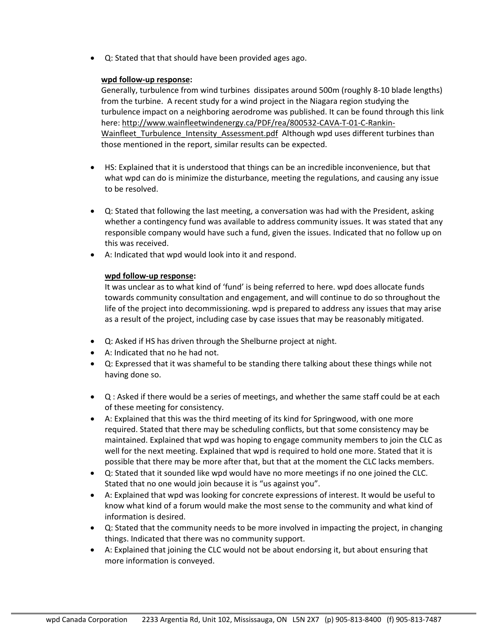• Q: Stated that that should have been provided ages ago.

## **wpd follow-up response:**

Generally, turbulence from wind turbines dissipates around 500m (roughly 8-10 blade lengths) from the turbine. A recent study for a wind project in the Niagara region studying the turbulence impact on a neighboring aerodrome was published. It can be found through this link here: [http://www.wainfleetwindenergy.ca/PDF/rea/800532-CAVA-T-01-C-Rankin-](http://www.wainfleetwindenergy.ca/PDF/rea/800532-CAVA-T-01-C-Rankin-Wainfleet_Turbulence_Intensity_Assessment.pdf)Wainfleet Turbulence Intensity Assessment.pdf Although wpd uses different turbines than those mentioned in the report, similar results can be expected.

- HS: Explained that it is understood that things can be an incredible inconvenience, but that what wpd can do is minimize the disturbance, meeting the regulations, and causing any issue to be resolved.
- Q: Stated that following the last meeting, a conversation was had with the President, asking whether a contingency fund was available to address community issues. It was stated that any responsible company would have such a fund, given the issues. Indicated that no follow up on this was received.
- A: Indicated that wpd would look into it and respond.

## **wpd follow-up response:**

It was unclear as to what kind of 'fund' is being referred to here. wpd does allocate funds towards community consultation and engagement, and will continue to do so throughout the life of the project into decommissioning. wpd is prepared to address any issues that may arise as a result of the project, including case by case issues that may be reasonably mitigated.

- Q: Asked if HS has driven through the Shelburne project at night.
- A: Indicated that no he had not.
- Q: Expressed that it was shameful to be standing there talking about these things while not having done so.
- Q : Asked if there would be a series of meetings, and whether the same staff could be at each of these meeting for consistency.
- A: Explained that this was the third meeting of its kind for Springwood, with one more required. Stated that there may be scheduling conflicts, but that some consistency may be maintained. Explained that wpd was hoping to engage community members to join the CLC as well for the next meeting. Explained that wpd is required to hold one more. Stated that it is possible that there may be more after that, but that at the moment the CLC lacks members.
- Q: Stated that it sounded like wpd would have no more meetings if no one joined the CLC. Stated that no one would join because it is "us against you".
- A: Explained that wpd was looking for concrete expressions of interest. It would be useful to know what kind of a forum would make the most sense to the community and what kind of information is desired.
- Q: Stated that the community needs to be more involved in impacting the project, in changing things. Indicated that there was no community support.
- A: Explained that joining the CLC would not be about endorsing it, but about ensuring that more information is conveyed.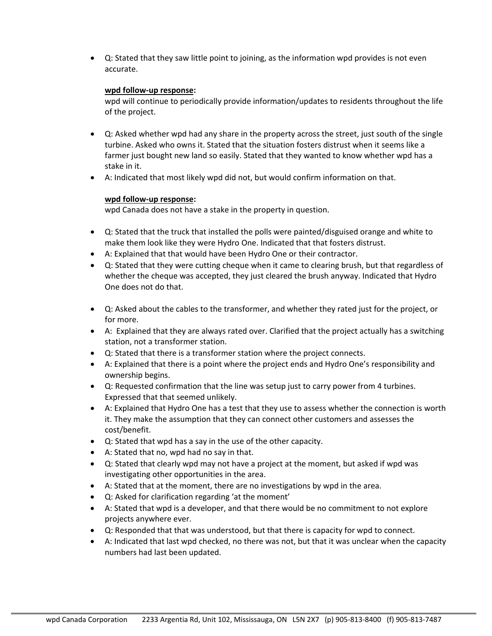• Q: Stated that they saw little point to joining, as the information wpd provides is not even accurate.

## **wpd follow-up response:**

wpd will continue to periodically provide information/updates to residents throughout the life of the project.

- Q: Asked whether wpd had any share in the property across the street, just south of the single turbine. Asked who owns it. Stated that the situation fosters distrust when it seems like a farmer just bought new land so easily. Stated that they wanted to know whether wpd has a stake in it.
- A: Indicated that most likely wpd did not, but would confirm information on that.

#### **wpd follow-up response:**

wpd Canada does not have a stake in the property in question.

- Q: Stated that the truck that installed the polls were painted/disguised orange and white to make them look like they were Hydro One. Indicated that that fosters distrust.
- A: Explained that that would have been Hydro One or their contractor.
- Q: Stated that they were cutting cheque when it came to clearing brush, but that regardless of whether the cheque was accepted, they just cleared the brush anyway. Indicated that Hydro One does not do that.
- Q: Asked about the cables to the transformer, and whether they rated just for the project, or for more.
- A: Explained that they are always rated over. Clarified that the project actually has a switching station, not a transformer station.
- Q: Stated that there is a transformer station where the project connects.
- A: Explained that there is a point where the project ends and Hydro One's responsibility and ownership begins.
- Q: Requested confirmation that the line was setup just to carry power from 4 turbines. Expressed that that seemed unlikely.
- A: Explained that Hydro One has a test that they use to assess whether the connection is worth it. They make the assumption that they can connect other customers and assesses the cost/benefit.
- Q: Stated that wpd has a say in the use of the other capacity.
- A: Stated that no, wpd had no say in that.
- Q: Stated that clearly wpd may not have a project at the moment, but asked if wpd was investigating other opportunities in the area.
- A: Stated that at the moment, there are no investigations by wpd in the area.
- Q: Asked for clarification regarding 'at the moment'
- A: Stated that wpd is a developer, and that there would be no commitment to not explore projects anywhere ever.
- Q: Responded that that was understood, but that there is capacity for wpd to connect.
- A: Indicated that last wpd checked, no there was not, but that it was unclear when the capacity numbers had last been updated.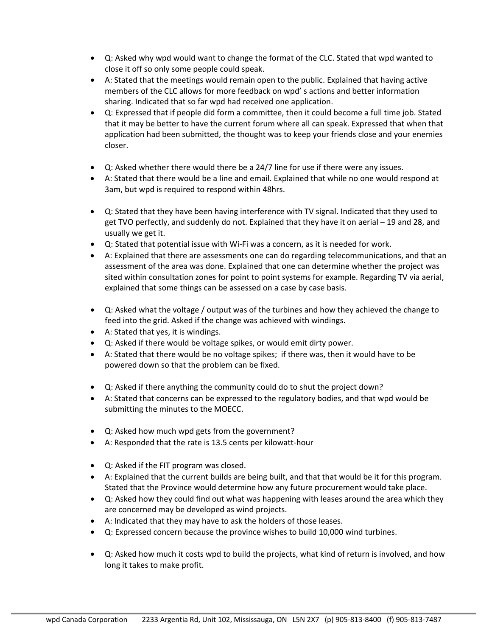- Q: Asked why wpd would want to change the format of the CLC. Stated that wpd wanted to close it off so only some people could speak.
- A: Stated that the meetings would remain open to the public. Explained that having active members of the CLC allows for more feedback on wpd' s actions and better information sharing. Indicated that so far wpd had received one application.
- Q: Expressed that if people did form a committee, then it could become a full time job. Stated that it may be better to have the current forum where all can speak. Expressed that when that application had been submitted, the thought was to keep your friends close and your enemies closer.
- Q: Asked whether there would there be a 24/7 line for use if there were any issues.
- A: Stated that there would be a line and email. Explained that while no one would respond at 3am, but wpd is required to respond within 48hrs.
- Q: Stated that they have been having interference with TV signal. Indicated that they used to get TVO perfectly, and suddenly do not. Explained that they have it on aerial – 19 and 28, and usually we get it.
- Q: Stated that potential issue with Wi-Fi was a concern, as it is needed for work.
- A: Explained that there are assessments one can do regarding telecommunications, and that an assessment of the area was done. Explained that one can determine whether the project was sited within consultation zones for point to point systems for example. Regarding TV via aerial, explained that some things can be assessed on a case by case basis.
- Q: Asked what the voltage / output was of the turbines and how they achieved the change to feed into the grid. Asked if the change was achieved with windings.
- A: Stated that yes, it is windings.
- Q: Asked if there would be voltage spikes, or would emit dirty power.
- A: Stated that there would be no voltage spikes; if there was, then it would have to be powered down so that the problem can be fixed.
- Q: Asked if there anything the community could do to shut the project down?
- A: Stated that concerns can be expressed to the regulatory bodies, and that wpd would be submitting the minutes to the MOECC.
- Q: Asked how much wpd gets from the government?
- A: Responded that the rate is 13.5 cents per kilowatt-hour
- Q: Asked if the FIT program was closed.
- A: Explained that the current builds are being built, and that that would be it for this program. Stated that the Province would determine how any future procurement would take place.
- Q: Asked how they could find out what was happening with leases around the area which they are concerned may be developed as wind projects.
- A: Indicated that they may have to ask the holders of those leases.
- Q: Expressed concern because the province wishes to build 10,000 wind turbines.
- Q: Asked how much it costs wpd to build the projects, what kind of return is involved, and how long it takes to make profit.